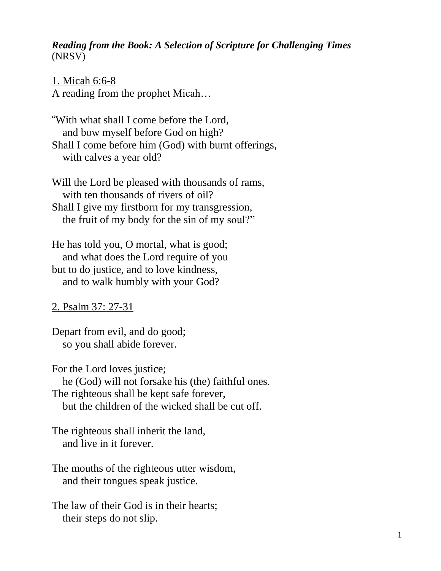#### *Reading from the Book: A Selection of Scripture for Challenging Times* (NRSV)

#### 1. Micah 6:6-8

A reading from the prophet Micah…

"With what shall I come before the Lord, and bow myself before God on high? Shall I come before him (God) with burnt offerings, with calves a year old?

Will the Lord be pleased with thousands of rams, with ten thousands of rivers of oil? Shall I give my firstborn for my transgression, the fruit of my body for the sin of my soul?"

He has told you, O mortal, what is good; and what does the Lord require of you but to do justice, and to love kindness, and to walk humbly with your God?

## 2. Psalm 37: 27-31

Depart from evil, and do good; so you shall abide forever.

For the Lord loves justice; he (God) will not forsake his (the) faithful ones. The righteous shall be kept safe forever, but the children of the wicked shall be cut off.

The righteous shall inherit the land, and live in it forever.

The mouths of the righteous utter wisdom, and their tongues speak justice.

The law of their God is in their hearts; their steps do not slip.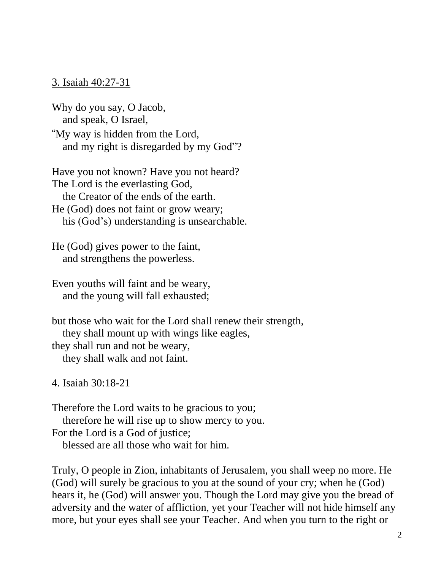#### 3. Isaiah 40:27-31

Why do you say, O Jacob, and speak, O Israel,

"My way is hidden from the Lord, and my right is disregarded by my God"?

Have you not known? Have you not heard? The Lord is the everlasting God, the Creator of the ends of the earth. He (God) does not faint or grow weary;

his (God's) understanding is unsearchable.

He (God) gives power to the faint, and strengthens the powerless.

Even youths will faint and be weary, and the young will fall exhausted;

but those who wait for the Lord shall renew their strength, they shall mount up with wings like eagles, they shall run and not be weary, they shall walk and not faint.

#### 4. Isaiah 30:18-21

Therefore the Lord waits to be gracious to you; therefore he will rise up to show mercy to you. For the Lord is a God of justice: blessed are all those who wait for him.

Truly, O people in Zion, inhabitants of Jerusalem, you shall weep no more. He (God) will surely be gracious to you at the sound of your cry; when he (God) hears it, he (God) will answer you. Though the Lord may give you the bread of adversity and the water of affliction, yet your Teacher will not hide himself any more, but your eyes shall see your Teacher. And when you turn to the right or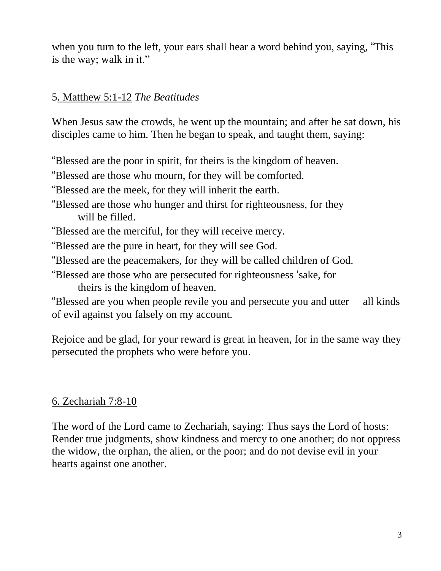when you turn to the left, your ears shall hear a word behind you, saying, "This is the way; walk in it."

# 5. Matthew 5:1-12 *The Beatitudes*

When Jesus saw the crowds, he went up the mountain; and after he sat down, his disciples came to him. Then he began to speak, and taught them, saying:

"Blessed are the poor in spirit, for theirs is the kingdom of heaven.

"Blessed are those who mourn, for they will be comforted.

"Blessed are the meek, for they will inherit the earth.

- "Blessed are those who hunger and thirst for righteousness, for they will be filled.
- "Blessed are the merciful, for they will receive mercy.
- "Blessed are the pure in heart, for they will see God.
- "Blessed are the peacemakers, for they will be called children of God.
- "Blessed are those who are persecuted for righteousness 'sake, for theirs is the kingdom of heaven.

"Blessed are you when people revile you and persecute you and utter all kinds of evil against you falsely on my account.

Rejoice and be glad, for your reward is great in heaven, for in the same way they persecuted the prophets who were before you.

# 6. Zechariah 7:8-10

The word of the Lord came to Zechariah, saying: Thus says the Lord of hosts: Render true judgments, show kindness and mercy to one another; do not oppress the widow, the orphan, the alien, or the poor; and do not devise evil in your hearts against one another.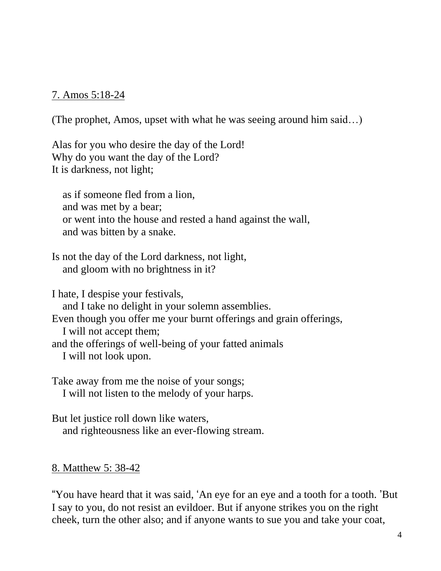## 7. Amos 5:18-24

(The prophet, Amos, upset with what he was seeing around him said…)

Alas for you who desire the day of the Lord! Why do you want the day of the Lord? It is darkness, not light;

as if someone fled from a lion, and was met by a bear; or went into the house and rested a hand against the wall, and was bitten by a snake.

Is not the day of the Lord darkness, not light, and gloom with no brightness in it?

I hate, I despise your festivals, and I take no delight in your solemn assemblies. Even though you offer me your burnt offerings and grain offerings, I will not accept them; and the offerings of well-being of your fatted animals I will not look upon.

Take away from me the noise of your songs; I will not listen to the melody of your harps.

But let justice roll down like waters, and righteousness like an ever-flowing stream.

## 8. Matthew 5: 38-42

"You have heard that it was said, 'An eye for an eye and a tooth for a tooth. 'But I say to you, do not resist an evildoer. But if anyone strikes you on the right cheek, turn the other also; and if anyone wants to sue you and take your coat,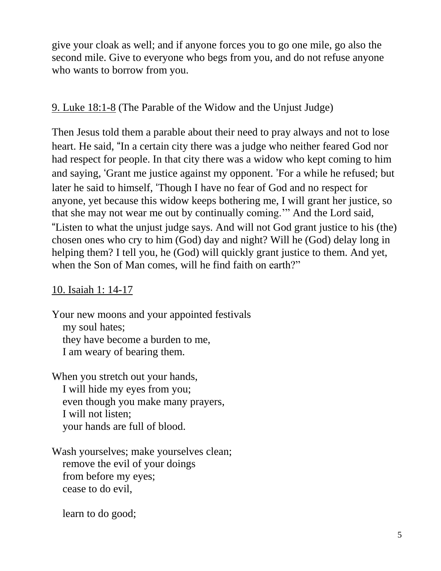give your cloak as well; and if anyone forces you to go one mile, go also the second mile. Give to everyone who begs from you, and do not refuse anyone who wants to borrow from you.

# 9. Luke 18:1-8 (The Parable of the Widow and the Unjust Judge)

Then Jesus told them a parable about their need to pray always and not to lose heart. He said, "In a certain city there was a judge who neither feared God nor had respect for people. In that city there was a widow who kept coming to him and saying, 'Grant me justice against my opponent. 'For a while he refused; but later he said to himself, 'Though I have no fear of God and no respect for anyone, yet because this widow keeps bothering me, I will grant her justice, so that she may not wear me out by continually coming.'" And the Lord said, "Listen to what the unjust judge says. And will not God grant justice to his (the) chosen ones who cry to him (God) day and night? Will he (God) delay long in helping them? I tell you, he (God) will quickly grant justice to them. And yet, when the Son of Man comes, will he find faith on earth?"

# 10. Isaiah 1: 14-17

Your new moons and your appointed festivals my soul hates; they have become a burden to me, I am weary of bearing them.

When you stretch out your hands, I will hide my eyes from you; even though you make many prayers, I will not listen; your hands are full of blood.

Wash yourselves; make yourselves clean; remove the evil of your doings from before my eyes; cease to do evil,

learn to do good;